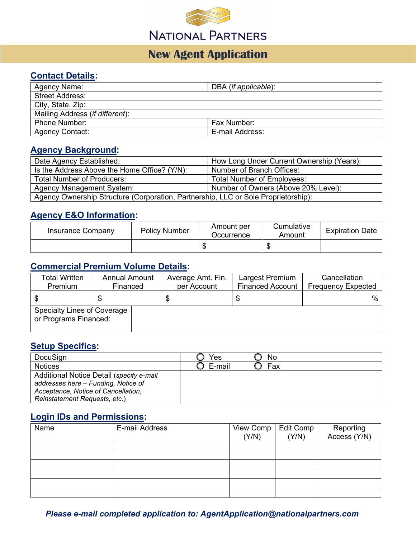

# **New Agent Application**

#### **Contact Details:**

| Agency Name:                    | DBA (if applicable): |
|---------------------------------|----------------------|
| <b>Street Address:</b>          |                      |
| City, State, Zip:               |                      |
| Mailing Address (if different): |                      |
| <b>Phone Number:</b>            | Fax Number:          |
| <b>Agency Contact:</b>          | E-mail Address:      |

#### **Agency Background:**

| Date Agency Established:                                                           | How Long Under Current Ownership (Years): |  |  |
|------------------------------------------------------------------------------------|-------------------------------------------|--|--|
| Is the Address Above the Home Office? (Y/N):                                       | Number of Branch Offices:                 |  |  |
| <b>Total Number of Producers:</b>                                                  | <b>Total Number of Employees:</b>         |  |  |
| <b>Agency Management System:</b>                                                   | Number of Owners (Above 20% Level):       |  |  |
| Agency Ownership Structure (Corporation, Partnership, LLC or Sole Proprietorship): |                                           |  |  |

### **Agency E&O Information:**

| Insurance Company | <b>Policy Number</b> | Amount per<br>Occurrence | Cumulative<br>Amount | <b>Expiration Date</b> |
|-------------------|----------------------|--------------------------|----------------------|------------------------|
|                   |                      |                          |                      |                        |

### **Commercial Premium Volume Details:**

| <b>Total Written</b>                                 | <b>Annual Amount</b> | Average Amt. Fin. | Largest Premium         | Cancellation              |
|------------------------------------------------------|----------------------|-------------------|-------------------------|---------------------------|
| Premium                                              | Financed             | per Account       | <b>Financed Account</b> | <b>Frequency Expected</b> |
|                                                      |                      |                   | S                       | %                         |
| Specialty Lines of Coverage<br>or Programs Financed: |                      |                   |                         |                           |

#### **Setup Specifics:**

| DocuSign                                 | ∕es    | No  |
|------------------------------------------|--------|-----|
| <b>Notices</b>                           | E-mail | Fax |
| Additional Notice Detail (specify e-mail |        |     |
| addresses here - Funding, Notice of      |        |     |
| Acceptance, Notice of Cancellation,      |        |     |
| Reinstatement Requests, etc.)            |        |     |

### **Login IDs and Permissions:**

| Name | E-mail Address | View Comp<br>(Y/N) | Edit Comp<br>(Y/N) | Reporting<br>Access (Y/N) |
|------|----------------|--------------------|--------------------|---------------------------|
|      |                |                    |                    |                           |
|      |                |                    |                    |                           |
|      |                |                    |                    |                           |
|      |                |                    |                    |                           |
|      |                |                    |                    |                           |
|      |                |                    |                    |                           |

#### *Please e-mail completed application to: AgentApplication@nationalpartners.com*